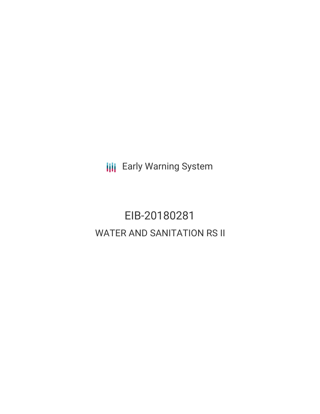**III** Early Warning System

# EIB-20180281 WATER AND SANITATION RS II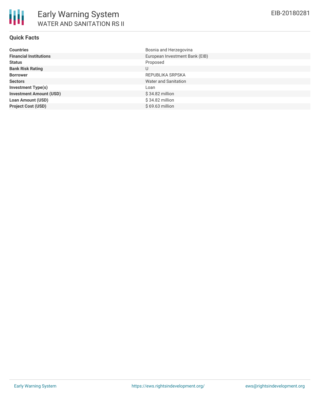## **Quick Facts**

| <b>Countries</b>               | Bosnia and Herzegovina         |
|--------------------------------|--------------------------------|
| <b>Financial Institutions</b>  | European Investment Bank (EIB) |
| <b>Status</b>                  | Proposed                       |
| <b>Bank Risk Rating</b>        | U                              |
| <b>Borrower</b>                | REPUBLIKA SRPSKA               |
| <b>Sectors</b>                 | Water and Sanitation           |
| <b>Investment Type(s)</b>      | Loan                           |
| <b>Investment Amount (USD)</b> | $$34.82$ million               |
| <b>Loan Amount (USD)</b>       | $$34.82$ million               |
| <b>Project Cost (USD)</b>      | $$69.63$ million               |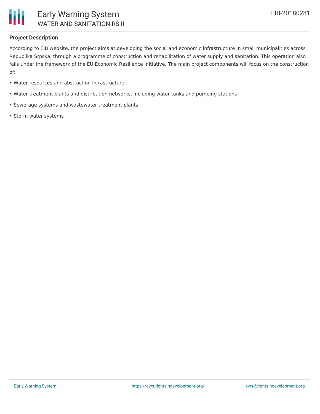

### **Project Description**

According to EIB website, the project aims at developing the social and economic infrastructure in small municipalities across Republika Srpska, through a programme of construction and rehabilitation of water supply and sanitation. This operation also falls under the framework of the EU Economic Resilience Initiative. The main project components will focus on the construction of:

- Water resources and abstraction infrastructure
- Water treatment plants and distribution networks, including water tanks and pumping stations
- Sewerage systems and wastewater treatment plants
- Storm water systems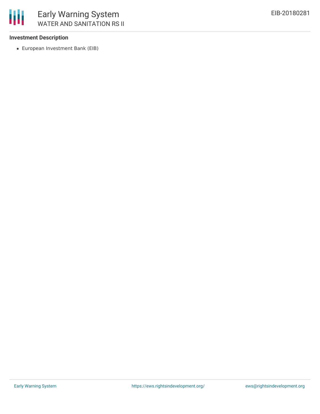

# **Investment Description**

European Investment Bank (EIB)